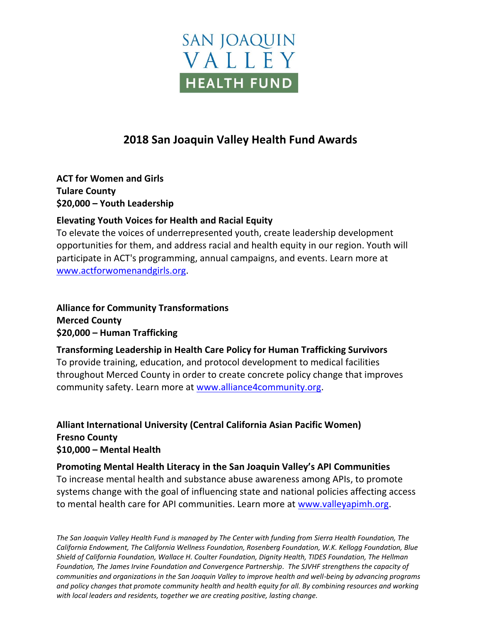

## **2018 San Joaquin Valley Health Fund Awards**

**ACT for Women and Girls Tulare County \$20,000 – Youth Leadership**

## **Elevating Youth Voices for Health and Racial Equity**

To elevate the voices of underrepresented youth, create leadership development opportunities for them, and address racial and health equity in our region. Youth will participate in ACT's programming, annual campaigns, and events. Learn more at [www.actforwomenandgirls.org.](http://www.actforwomenandgirls.org/)

**Alliance for Community Transformations Merced County \$20,000 – Human Trafficking** 

## **Transforming Leadership in Health Care Policy for Human Trafficking Survivors**

To provide training, education, and protocol development to medical facilities throughout Merced County in order to create concrete policy change that improves community safety. Learn more at [www.alliance4community.org.](http://www.alliance4community.org/)

## **Alliant International University (Central California Asian Pacific Women) Fresno County \$10,000 – Mental Health**

**Promoting Mental Health Literacy in the San Joaquin Valley's API Communities** To increase mental health and substance abuse awareness among APIs, to promote systems change with the goal of influencing state and national policies affecting access to mental health care for API communities. Learn more at [www.valleyapimh.org.](http://www.valleyapimh.org/)

*The San Joaquin Valley Health Fund is managed by The Center with funding from Sierra Health Foundation, The California Endowment, The California Wellness Foundation, Rosenberg Foundation, W.K. Kellogg Foundation, Blue Shield of California Foundation, Wallace H. Coulter Foundation, Dignity Health, TIDES Foundation, The Hellman Foundation, The James Irvine Foundation and Convergence Partnership. The SJVHF strengthens the capacity of communities and organizations in the San Joaquin Valley to improve health and well-being by advancing programs and policy changes that promote community health and health equity for all. By combining resources and working with local leaders and residents, together we are creating positive, lasting change.*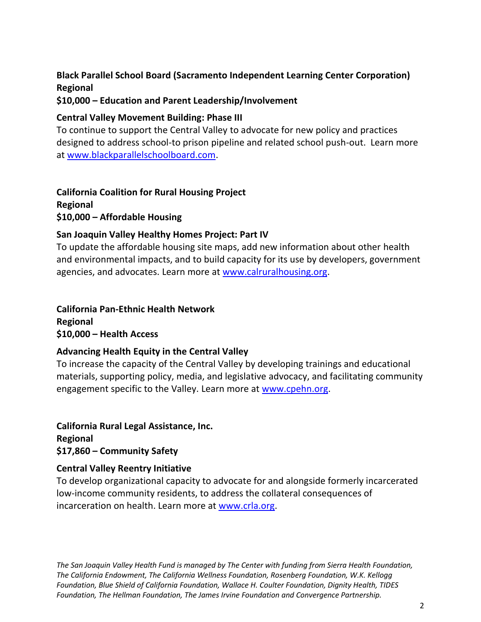## **Black Parallel School Board (Sacramento Independent Learning Center Corporation) Regional**

#### **\$10,000 – Education and Parent Leadership/Involvement**

#### **Central Valley Movement Building: Phase III**

To continue to support the Central Valley to advocate for new policy and practices designed to address school-to prison pipeline and related school push-out. Learn more at [www.blackparallelschoolboard.com.](http://www.blackparallelschoolboard.com/)

**California Coalition for Rural Housing Project Regional \$10,000 – Affordable Housing**

## **San Joaquin Valley Healthy Homes Project: Part IV**

To update the affordable housing site maps, add new information about other health and environmental impacts, and to build capacity for its use by developers, government agencies, and advocates. Learn more at [www.calruralhousing.org.](http://www.calruralhousing.org/)

**California Pan-Ethnic Health Network Regional \$10,000 – Health Access**

#### **Advancing Health Equity in the Central Valley**

To increase the capacity of the Central Valley by developing trainings and educational materials, supporting policy, media, and legislative advocacy, and facilitating community engagement specific to the Valley. Learn more at [www.cpehn.org.](http://www.cpehn.org/)

**California Rural Legal Assistance, Inc. Regional \$17,860 – Community Safety**

## **Central Valley Reentry Initiative**

To develop organizational capacity to advocate for and alongside formerly incarcerated low-income community residents, to address the collateral consequences of incarceration on health. Learn more at [www.crla.org.](http://www.crla.org/)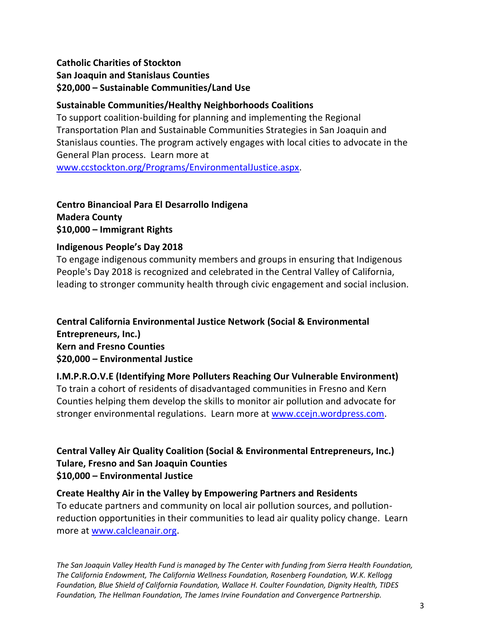## **Catholic Charities of Stockton San Joaquin and Stanislaus Counties \$20,000 – Sustainable Communities/Land Use**

## **Sustainable Communities/Healthy Neighborhoods Coalitions**

To support coalition-building for planning and implementing the Regional Transportation Plan and Sustainable Communities Strategies in San Joaquin and Stanislaus counties. The program actively engages with local cities to advocate in the General Plan process. Learn more at

[www.ccstockton.org/Programs/EnvironmentalJustice.aspx.](http://www.ccstockton.org/Programs/EnvironmentalJustice.aspx)

## **Centro Binancioal Para El Desarrollo Indigena Madera County \$10,000 – Immigrant Rights**

## **Indigenous People's Day 2018**

To engage indigenous community members and groups in ensuring that Indigenous People's Day 2018 is recognized and celebrated in the Central Valley of California, leading to stronger community health through civic engagement and social inclusion.

## **Central California Environmental Justice Network (Social & Environmental Entrepreneurs, Inc.) Kern and Fresno Counties \$20,000 – Environmental Justice**

## **I.M.P.R.O.V.E (Identifying More Polluters Reaching Our Vulnerable Environment)**

To train a cohort of residents of disadvantaged communities in Fresno and Kern Counties helping them develop the skills to monitor air pollution and advocate for stronger environmental regulations. Learn more at [www.ccejn.wordpress.com.](http://www.ccejn.wordpress.com/)

## **Central Valley Air Quality Coalition (Social & Environmental Entrepreneurs, Inc.) Tulare, Fresno and San Joaquin Counties \$10,000 – Environmental Justice**

## **Create Healthy Air in the Valley by Empowering Partners and Residents**

To educate partners and community on local air pollution sources, and pollutionreduction opportunities in their communities to lead air quality policy change. Learn more at [www.calcleanair.org.](http://www.calcleanair.org/)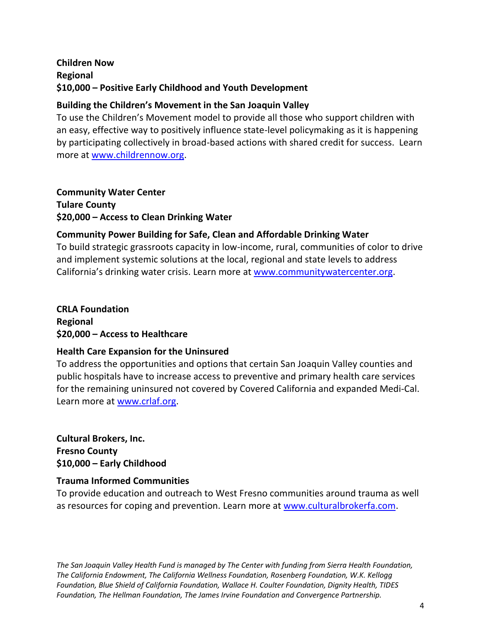## **Children Now Regional \$10,000 – Positive Early Childhood and Youth Development**

## **Building the Children's Movement in the San Joaquin Valley**

To use the Children's Movement model to provide all those who support children with an easy, effective way to positively influence state-level policymaking as it is happening by participating collectively in broad-based actions with shared credit for success. Learn more at [www.childrennow.org.](http://www.childrennow.org/)

**Community Water Center Tulare County \$20,000 – Access to Clean Drinking Water**

## **Community Power Building for Safe, Clean and Affordable Drinking Water**

To build strategic grassroots capacity in low-income, rural, communities of color to drive and implement systemic solutions at the local, regional and state levels to address California's drinking water crisis. Learn more at [www.communitywatercenter.org.](http://www.communitywatercenter.org/)

**CRLA Foundation Regional \$20,000 – Access to Healthcare**

## **Health Care Expansion for the Uninsured**

To address the opportunities and options that certain San Joaquin Valley counties and public hospitals have to increase access to preventive and primary health care services for the remaining uninsured not covered by Covered California and expanded Medi-Cal. Learn more at [www.crlaf.org.](http://www.crlaf.org/)

**Cultural Brokers, Inc. Fresno County \$10,000 – Early Childhood**

## **Trauma Informed Communities**

To provide education and outreach to West Fresno communities around trauma as well as resources for coping and prevention. Learn more at [www.culturalbrokerfa.com.](http://www.culturalbrokerfa.com/)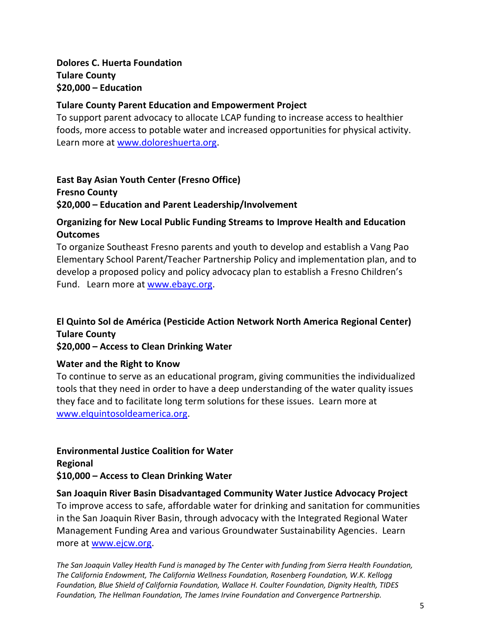**Dolores C. Huerta Foundation Tulare County \$20,000 – Education**

#### **Tulare County Parent Education and Empowerment Project**

To support parent advocacy to allocate LCAP funding to increase access to healthier foods, more access to potable water and increased opportunities for physical activity. Learn more at [www.doloreshuerta.org.](http://www.doloreshuerta.org/)

## **East Bay Asian Youth Center (Fresno Office)**

**Fresno County \$20,000 – Education and Parent Leadership/Involvement**

## **Organizing for New Local Public Funding Streams to Improve Health and Education Outcomes**

To organize Southeast Fresno parents and youth to develop and establish a Vang Pao Elementary School Parent/Teacher Partnership Policy and implementation plan, and to develop a proposed policy and policy advocacy plan to establish a Fresno Children's Fund. Learn more at [www.ebayc.org.](http://www.ebayc.org/)

## **El Quinto Sol de América (Pesticide Action Network North America Regional Center) Tulare County**

**\$20,000 – Access to Clean Drinking Water**

#### **Water and the Right to Know**

To continue to serve as an educational program, giving communities the individualized tools that they need in order to have a deep understanding of the water quality issues they face and to facilitate long term solutions for these issues. Learn more at [www.elquintosoldeamerica.org.](http://www.elquintosoldeamerica.org/)

## **Environmental Justice Coalition for Water**

**Regional \$10,000 – Access to Clean Drinking Water**

#### **San Joaquin River Basin Disadvantaged Community Water Justice Advocacy Project**

To improve access to safe, affordable water for drinking and sanitation for communities in the San Joaquin River Basin, through advocacy with the Integrated Regional Water Management Funding Area and various Groundwater Sustainability Agencies. Learn more at [www.ejcw.org.](http://www.ejcw.org/)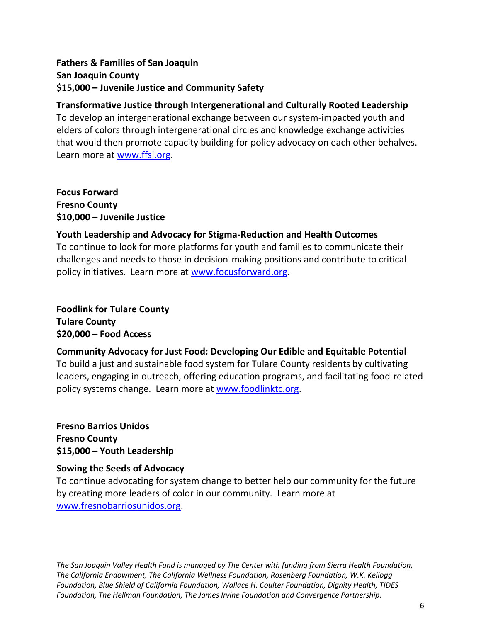## **Fathers & Families of San Joaquin San Joaquin County \$15,000 – Juvenile Justice and Community Safety**

## **Transformative Justice through Intergenerational and Culturally Rooted Leadership**

To develop an intergenerational exchange between our system-impacted youth and elders of colors through intergenerational circles and knowledge exchange activities that would then promote capacity building for policy advocacy on each other behalves. Learn more at [www.ffsj.org.](http://www.ffsj.org/)

**Focus Forward Fresno County \$10,000 – Juvenile Justice**

## **Youth Leadership and Advocacy for Stigma-Reduction and Health Outcomes**

To continue to look for more platforms for youth and families to communicate their challenges and needs to those in decision-making positions and contribute to critical policy initiatives. Learn more at [www.focusforward.org.](http://www.focusforward.org/)

**Foodlink for Tulare County Tulare County \$20,000 – Food Access**

## **Community Advocacy for Just Food: Developing Our Edible and Equitable Potential**

To build a just and sustainable food system for Tulare County residents by cultivating leaders, engaging in outreach, offering education programs, and facilitating food-related policy systems change. Learn more at [www.foodlinktc.org.](http://www.foodlinktc.org/)

**Fresno Barrios Unidos Fresno County \$15,000 – Youth Leadership**

## **Sowing the Seeds of Advocacy**

To continue advocating for system change to better help our community for the future by creating more leaders of color in our community. Learn more at [www.fresnobarriosunidos.org.](http://www.fresnobarriosunidos.org/)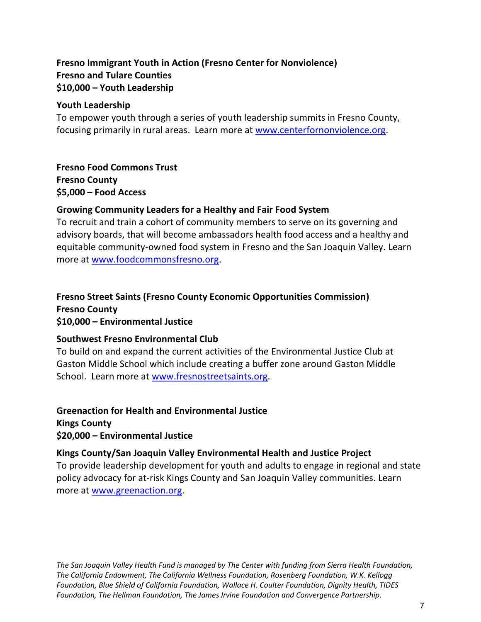## **Fresno Immigrant Youth in Action (Fresno Center for Nonviolence) Fresno and Tulare Counties \$10,000 – Youth Leadership**

#### **Youth Leadership**

To empower youth through a series of youth leadership summits in Fresno County, focusing primarily in rural areas. Learn more at [www.centerfornonviolence.org.](http://www.centerfornonviolence.org/)

**Fresno Food Commons Trust Fresno County \$5,000 – Food Access**

#### **Growing Community Leaders for a Healthy and Fair Food System**

To recruit and train a cohort of community members to serve on its governing and advisory boards, that will become ambassadors health food access and a healthy and equitable community-owned food system in Fresno and the San Joaquin Valley. Learn more at [www.foodcommonsfresno.org.](http://www.foodcommonsfresno.org/)

#### **Fresno Street Saints (Fresno County Economic Opportunities Commission) Fresno County \$10,000 – Environmental Justice**

#### **Southwest Fresno Environmental Club**

To build on and expand the current activities of the Environmental Justice Club at Gaston Middle School which include creating a buffer zone around Gaston Middle School. Learn more at [www.fresnostreetsaints.org.](http://www.fresnostreetsaints.org/)

## **Greenaction for Health and Environmental Justice Kings County \$20,000 – Environmental Justice**

#### **Kings County/San Joaquin Valley Environmental Health and Justice Project**

To provide leadership development for youth and adults to engage in regional and state policy advocacy for at-risk Kings County and San Joaquin Valley communities. Learn more at [www.greenaction.org.](http://www.greenaction.org/)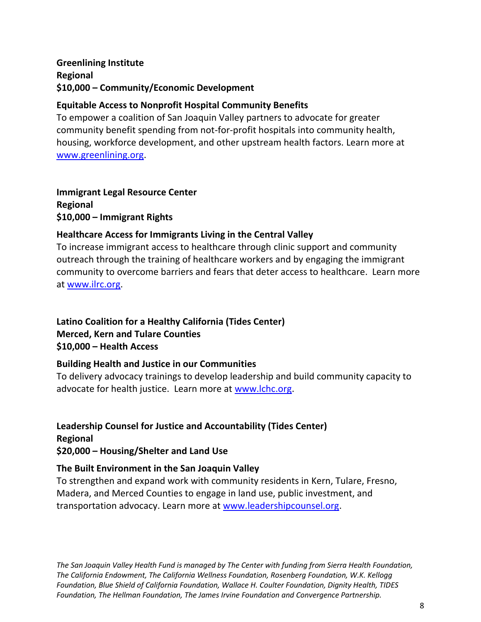## **Greenlining Institute Regional \$10,000 – Community/Economic Development**

## **Equitable Access to Nonprofit Hospital Community Benefits**

To empower a coalition of San Joaquin Valley partners to advocate for greater community benefit spending from not-for-profit hospitals into community health, housing, workforce development, and other upstream health factors. Learn more at [www.greenlining.org.](http://www.greenlining.org/)

**Immigrant Legal Resource Center Regional \$10,000 – Immigrant Rights**

## **Healthcare Access for Immigrants Living in the Central Valley**

To increase immigrant access to healthcare through clinic support and community outreach through the training of healthcare workers and by engaging the immigrant community to overcome barriers and fears that deter access to healthcare. Learn more at [www.ilrc.org.](http://www.ilrc.org/)

## **Latino Coalition for a Healthy California (Tides Center) Merced, Kern and Tulare Counties \$10,000 – Health Access**

## **Building Health and Justice in our Communities**

To delivery advocacy trainings to develop leadership and build community capacity to advocate for health justice. Learn more at [www.lchc.org.](http://www.lchc.org/)

## **Leadership Counsel for Justice and Accountability (Tides Center) Regional \$20,000 – Housing/Shelter and Land Use**

## **The Built Environment in the San Joaquin Valley**

To strengthen and expand work with community residents in Kern, Tulare, Fresno, Madera, and Merced Counties to engage in land use, public investment, and transportation advocacy. Learn more at [www.leadershipcounsel.org.](http://www.leadershipcounsel.org/)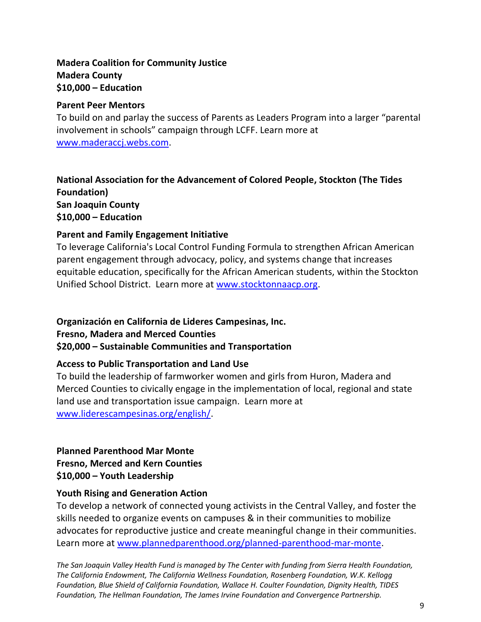## **Madera Coalition for Community Justice Madera County \$10,000 – Education**

#### **Parent Peer Mentors**

To build on and parlay the success of Parents as Leaders Program into a larger "parental involvement in schools" campaign through LCFF. Learn more at [www.maderaccj.webs.com.](http://www.maderaccj.webs.com/)

## **National Association for the Advancement of Colored People, Stockton (The Tides Foundation) San Joaquin County \$10,000 – Education**

## **Parent and Family Engagement Initiative**

To leverage California's Local Control Funding Formula to strengthen African American parent engagement through advocacy, policy, and systems change that increases equitable education, specifically for the African American students, within the Stockton Unified School District. Learn more at [www.stocktonnaacp.org.](http://www.stocktonnaacp.org/)

## **Organización en California de Lideres Campesinas, Inc.**

**Fresno, Madera and Merced Counties**

## **\$20,000 – Sustainable Communities and Transportation**

## **Access to Public Transportation and Land Use**

To build the leadership of farmworker women and girls from Huron, Madera and Merced Counties to civically engage in the implementation of local, regional and state land use and transportation issue campaign. Learn more at [www.liderescampesinas.org/english/.](http://www.liderescampesinas.org/english/)

## **Planned Parenthood Mar Monte Fresno, Merced and Kern Counties \$10,000 – Youth Leadership**

## **Youth Rising and Generation Action**

To develop a network of connected young activists in the Central Valley, and foster the skills needed to organize events on campuses & in their communities to mobilize advocates for reproductive justice and create meaningful change in their communities. Learn more at [www.plannedparenthood.org/planned-parenthood-mar-monte.](http://www.plannedparenthood.org/planned-parenthood-mar-monte)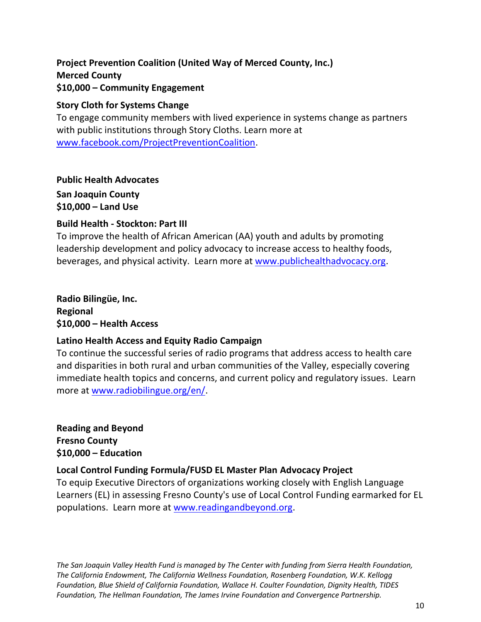## **Project Prevention Coalition (United Way of Merced County, Inc.) Merced County \$10,000 – Community Engagement**

#### **Story Cloth for Systems Change**

To engage community members with lived experience in systems change as partners with public institutions through Story Cloths. Learn more at [www.facebook.com/ProjectPreventionCoalition.](http://www.facebook.com/ProjectPreventionCoalition)

**Public Health Advocates**

**San Joaquin County \$10,000 – Land Use** 

#### **Build Health - Stockton: Part III**

To improve the health of African American (AA) youth and adults by promoting leadership development and policy advocacy to increase access to healthy foods, beverages, and physical activity. Learn more at [www.publichealthadvocacy.org.](http://www.publichealthadvocacy.org/)

**Radio Bilingüe, Inc. Regional \$10,000 – Health Access**

## **Latino Health Access and Equity Radio Campaign**

To continue the successful series of radio programs that address access to health care and disparities in both rural and urban communities of the Valley, especially covering immediate health topics and concerns, and current policy and regulatory issues. Learn more at [www.radiobilingue.org/en/.](http://www.radiobilingue.org/en/)

**Reading and Beyond Fresno County \$10,000 – Education**

## **Local Control Funding Formula/FUSD EL Master Plan Advocacy Project**

To equip Executive Directors of organizations working closely with English Language Learners (EL) in assessing Fresno County's use of Local Control Funding earmarked for EL populations. Learn more at [www.readingandbeyond.org.](http://www.readingandbeyond.org/)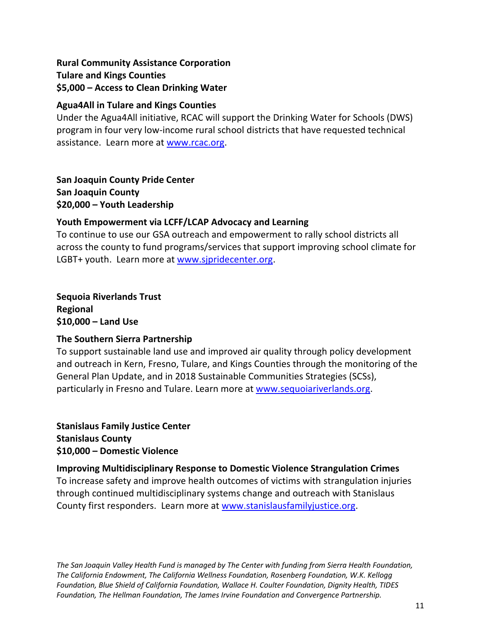## **Rural Community Assistance Corporation Tulare and Kings Counties \$5,000 – Access to Clean Drinking Water**

## **Agua4All in Tulare and Kings Counties**

Under the Agua4All initiative, RCAC will support the Drinking Water for Schools (DWS) program in four very low-income rural school districts that have requested technical assistance. Learn more at [www.rcac.org.](http://www.rcac.org/)

**San Joaquin County Pride Center San Joaquin County \$20,000 – Youth Leadership**

## **Youth Empowerment via LCFF/LCAP Advocacy and Learning**

To continue to use our GSA outreach and empowerment to rally school districts all across the county to fund programs/services that support improving school climate for LGBT+ youth. Learn more at [www.sjpridecenter.org.](http://www.sjpridecenter.org/)

**Sequoia Riverlands Trust Regional \$10,000 – Land Use**

## **The Southern Sierra Partnership**

To support sustainable land use and improved air quality through policy development and outreach in Kern, Fresno, Tulare, and Kings Counties through the monitoring of the General Plan Update, and in 2018 Sustainable Communities Strategies (SCSs), particularly in Fresno and Tulare. Learn more at [www.sequoiariverlands.org.](http://www.sequoiariverlands.org/)

**Stanislaus Family Justice Center Stanislaus County \$10,000 – Domestic Violence** 

## **Improving Multidisciplinary Response to Domestic Violence Strangulation Crimes**

To increase safety and improve health outcomes of victims with strangulation injuries through continued multidisciplinary systems change and outreach with Stanislaus County first responders. Learn more at [www.stanislausfamilyjustice.org.](http://www.stanislausfamilyjustice.org/)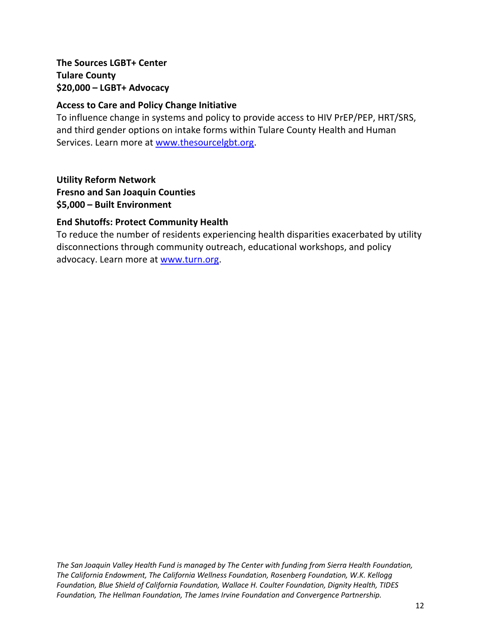## **The Sources LGBT+ Center Tulare County \$20,000 – LGBT+ Advocacy**

## **Access to Care and Policy Change Initiative**

To influence change in systems and policy to provide access to HIV PrEP/PEP, HRT/SRS, and third gender options on intake forms within Tulare County Health and Human Services. Learn more at [www.thesourcelgbt.org.](http://www.thesourcelgbt.org/)

**Utility Reform Network Fresno and San Joaquin Counties**

**\$5,000 – Built Environment** 

#### **End Shutoffs: Protect Community Health**

To reduce the number of residents experiencing health disparities exacerbated by utility disconnections through community outreach, educational workshops, and policy advocacy. Learn more at [www.turn.org.](http://www.turn.org/)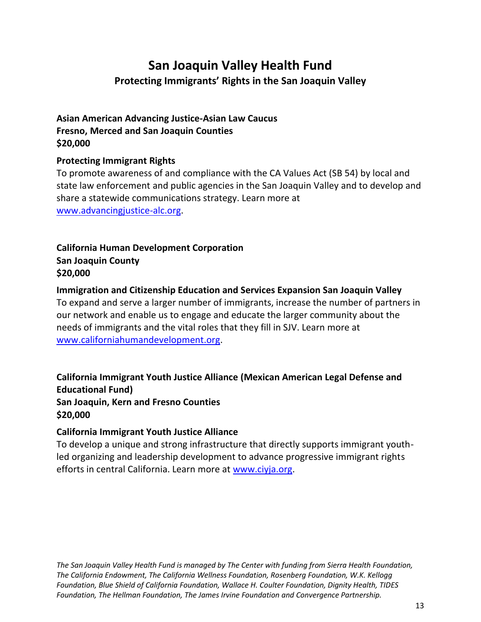# **San Joaquin Valley Health Fund Protecting Immigrants' Rights in the San Joaquin Valley**

## **Asian American Advancing Justice-Asian Law Caucus Fresno, Merced and San Joaquin Counties \$20,000**

## **Protecting Immigrant Rights**

To promote awareness of and compliance with the CA Values Act (SB 54) by local and state law enforcement and public agencies in the San Joaquin Valley and to develop and share a statewide communications strategy. Learn more at [www.advancingjustice-alc.org.](http://www.advancingjustice-alc.org/)

## **California Human Development Corporation San Joaquin County \$20,000**

**Immigration and Citizenship Education and Services Expansion San Joaquin Valley** To expand and serve a larger number of immigrants, increase the number of partners in our network and enable us to engage and educate the larger community about the needs of immigrants and the vital roles that they fill in SJV. Learn more at [www.californiahumandevelopment.org.](http://www.californiahumandevelopment.org/)

## **California Immigrant Youth Justice Alliance (Mexican American Legal Defense and Educational Fund) San Joaquin, Kern and Fresno Counties \$20,000**

## **California Immigrant Youth Justice Alliance**

To develop a unique and strong infrastructure that directly supports immigrant youthled organizing and leadership development to advance progressive immigrant rights efforts in central California. Learn more at [www.ciyja.org.](http://www.ciyja.org/)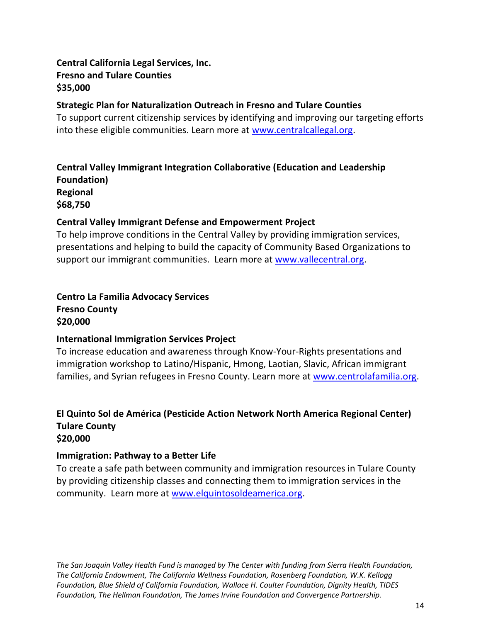## **Central California Legal Services, Inc. Fresno and Tulare Counties \$35,000**

#### **Strategic Plan for Naturalization Outreach in Fresno and Tulare Counties**

To support current citizenship services by identifying and improving our targeting efforts into these eligible communities. Learn more at [www.centralcallegal.org.](http://www.centralcallegal.org/)

## **Central Valley Immigrant Integration Collaborative (Education and Leadership Foundation)**

**Regional \$68,750**

## **Central Valley Immigrant Defense and Empowerment Project**

To help improve conditions in the Central Valley by providing immigration services, presentations and helping to build the capacity of Community Based Organizations to support our immigrant communities. Learn more at [www.vallecentral.org.](http://www.vallecentral.org/)

## **Centro La Familia Advocacy Services Fresno County \$20,000**

## **International Immigration Services Project**

To increase education and awareness through Know-Your-Rights presentations and immigration workshop to Latino/Hispanic, Hmong, Laotian, Slavic, African immigrant families, and Syrian refugees in Fresno County. Learn more at [www.centrolafamilia.org.](http://www.centrolafamilia.org/)

#### **El Quinto Sol de América (Pesticide Action Network North America Regional Center) Tulare County \$20,000**

## **Immigration: Pathway to a Better Life**

To create a safe path between community and immigration resources in Tulare County by providing citizenship classes and connecting them to immigration services in the community. Learn more at [www.elquintosoldeamerica.org.](http://www.elquintosoldeamerica.org/)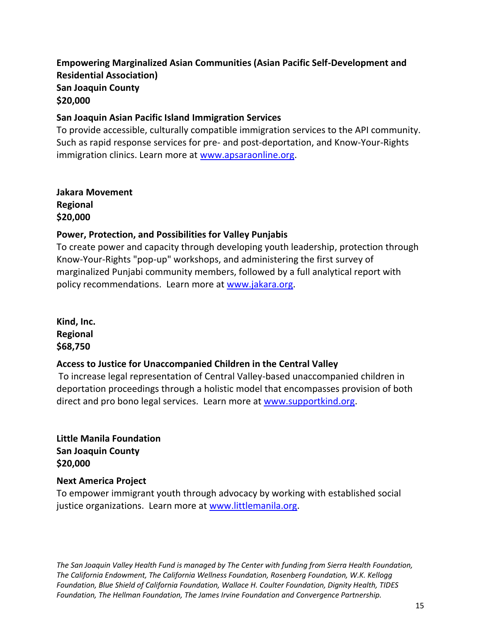## **Empowering Marginalized Asian Communities (Asian Pacific Self-Development and Residential Association) San Joaquin County \$20,000**

#### **San Joaquin Asian Pacific Island Immigration Services**

To provide accessible, culturally compatible immigration services to the API community. Such as rapid response services for pre- and post-deportation, and Know-Your-Rights immigration clinics. Learn more at [www.apsaraonline.org.](http://www.apsaraonline.org/)

**Jakara Movement Regional \$20,000**

#### **Power, Protection, and Possibilities for Valley Punjabis**

To create power and capacity through developing youth leadership, protection through Know-Your-Rights "pop-up" workshops, and administering the first survey of marginalized Punjabi community members, followed by a full analytical report with policy recommendations. Learn more at [www.jakara.org.](http://www.jakara.org/)

**Kind, Inc. Regional \$68,750**

#### **Access to Justice for Unaccompanied Children in the Central Valley**

To increase legal representation of Central Valley-based unaccompanied children in deportation proceedings through a holistic model that encompasses provision of both direct and pro bono legal services. Learn more at [www.supportkind.org.](http://www.supportkind.org/)

**Little Manila Foundation San Joaquin County \$20,000**

#### **Next America Project**

To empower immigrant youth through advocacy by working with established social justice organizations. Learn more at [www.littlemanila.org.](http://www.littlemanila.org/)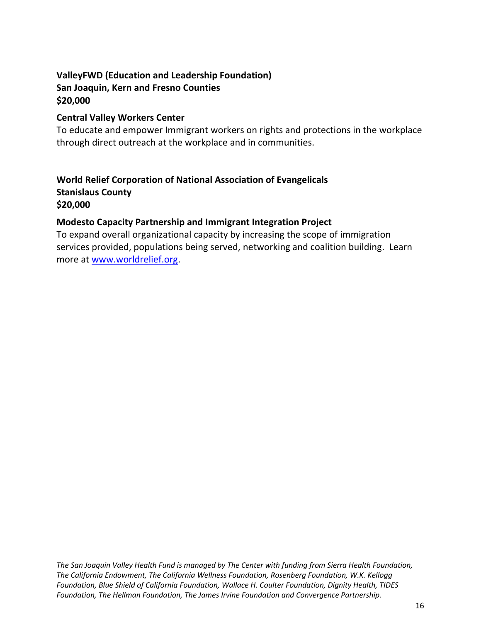## **ValleyFWD (Education and Leadership Foundation) San Joaquin, Kern and Fresno Counties \$20,000**

#### **Central Valley Workers Center**

To educate and empower Immigrant workers on rights and protections in the workplace through direct outreach at the workplace and in communities.

## **World Relief Corporation of National Association of Evangelicals Stanislaus County \$20,000**

## **Modesto Capacity Partnership and Immigrant Integration Project**

To expand overall organizational capacity by increasing the scope of immigration services provided, populations being served, networking and coalition building. Learn more at [www.worldrelief.org.](http://www.worldrelief.org/)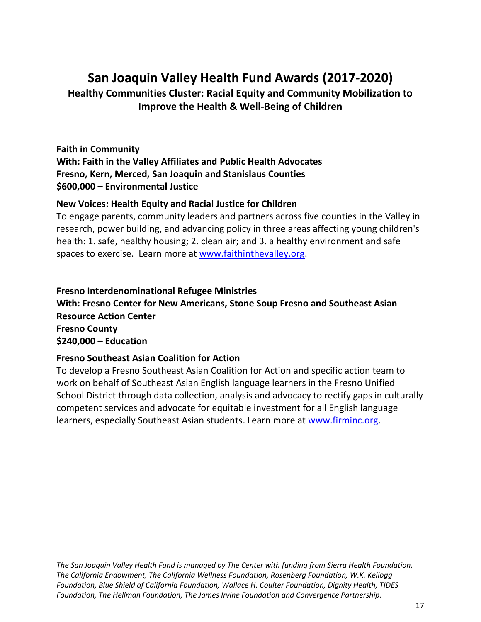# **San Joaquin Valley Health Fund Awards (2017-2020)**

**Healthy Communities Cluster: Racial Equity and Community Mobilization to Improve the Health & Well-Being of Children**

**Faith in Community With: Faith in the Valley Affiliates and Public Health Advocates Fresno, Kern, Merced, San Joaquin and Stanislaus Counties \$600,000 – Environmental Justice**

#### **New Voices: Health Equity and Racial Justice for Children**

To engage parents, community leaders and partners across five counties in the Valley in research, power building, and advancing policy in three areas affecting young children's health: 1. safe, healthy housing; 2. clean air; and 3. a healthy environment and safe spaces to exercise. Learn more at [www.faithinthevalley.org.](http://www.faithinthevalley.org/)

**Fresno Interdenominational Refugee Ministries With: Fresno Center for New Americans, Stone Soup Fresno and Southeast Asian Resource Action Center Fresno County \$240,000 – Education**

#### **Fresno Southeast Asian Coalition for Action**

To develop a Fresno Southeast Asian Coalition for Action and specific action team to work on behalf of Southeast Asian English language learners in the Fresno Unified School District through data collection, analysis and advocacy to rectify gaps in culturally competent services and advocate for equitable investment for all English language learners, especially Southeast Asian students. Learn more at [www.firminc.org.](http://www.firminc.org/)